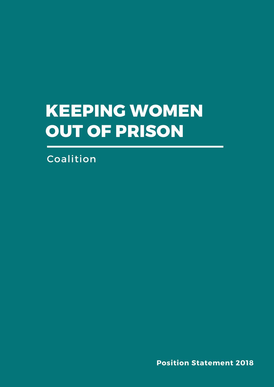## **Keeping Women out of Prison**

Coalition

**Position Statement 2018**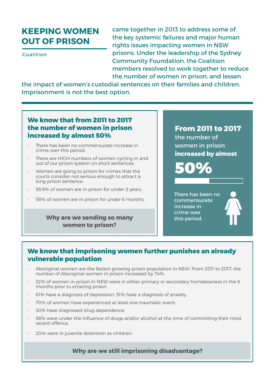## **Keeping Women out of Prison**

Coalition

came together in 2013 to address some of the key systemic failures and major human rights issues impacting women in NSW prisons. Under the leadership of the Sydney Community Foundation, the Coalition members resolved to work together to reduce the number of women in prison, and lessen

the impact of women's custodial sentences on their families and children. Imprisonment is not the best option.

#### **We know that from 2011 to 2017 the number of women in prison increased by almost 50%**

- There has been no commensurate increase in crime over this period.
- • There are HIGH numbers of women cycling in and out of our prison system on short sentences.
- Women are going to prison for crimes that the courts consider not serious enough to attract a long prison sentence.
- 95.9% of women are in prison for under 2 years.
- • 58% of women are in prison for under 6 months.

#### **Why are we sending so many women to prison?**

### **From 2011 to 2017**

the number of women in prison **increased by almost**

50%

There has been no commensurate increase in crime over this period.

#### **We know that imprisoning women further punishes an already vulnerable population**

- Aboriginal women are the fastest growing prison population in NSW. From 2011 to 2017, the number of Aboriginal women in prison increased by 74%.
- • 32% of women in prison in NSW were in either primary or secondary homelessness in the 6 months prior to entering prison.
- • 61% have a diagnosis of depression, 51% have a diagnosis of anxiety.
- • 70% of women have experienced at least one traumatic event.
- • 30% have diagnosed drug dependence.
- 56% were under the influence of drugs and/or alcohol at the time of committing their most recent offence.
- • 20% were in juvenile detention as children.

#### **Why are we still imprisoning disadvantage?**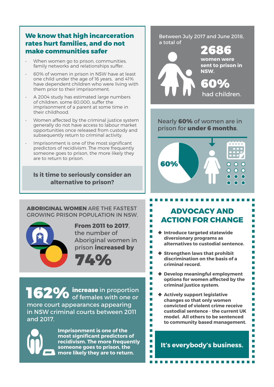#### **We know that high incarceration rates hurt families, and do not make communities safer**

- When women go to prison, communities, family networks and relationships suffer.
- 60% of women in prison in NSW have at least one child under the age of 16 years, and 41% have dependent children who were living with them prior to their imprisonment.
- A 2004 study has estimated large numbers of children, some 60,000, suffer the imprisonment of a parent at some time in their childhood.
- Women affected by the criminal justice system generally do not have access to labour market opportunities once released from custody and subsequently return to criminal activity.
- Imprisonment is one of the most significant predictors of recidivism. The more frequently someone goes to prison, the more likely they are to return to prison.

#### **Is it time to seriously consider an alternative to prison?**

Between July 2017 and June 2018, a total of



Nearly **60%** of women are in prison for **under 6 months**.



**Aboriginal women** are the fastest growing prison population in NSW.



**From 2011 to 2017**, the number of Aboriginal women in prison **increased by**



**162%** increase in proportion of females with one or more court appearances appearing in NSW criminal courts between 2011 and 2017.



**Imprisonment is one of the most significant predictors of recidivism. The more frequently someone goes to prison, the more likely they are to return.** 

## **Advocacy and action for change**

п  $\overline{\phantom{a}}$ 

 $\blacksquare$ 

п

П П

m.

П

 $\blacksquare$ 

 $\blacksquare$ 

 $\overline{\phantom{a}}$ 

П

п

п

П

Ō,

П

П

П

П

Ē

m,

 $\blacksquare$ 

 $\overline{\phantom{a}}$ 

m.

n.

г П

П

П n.

П

П  $\Box$ 

 $\overline{\phantom{a}}$ 

m.

H

П

П

n.

 $\overline{\phantom{a}}$ 

n.

П

n

Ħ

Ē

Ħ

 $\mathbb{R}^2$ 

Ħ

 $\mathcal{C}^{\mathcal{A}}$ 

 $\mathcal{C}^{\mathcal{A}}$ 

Н

- **Introduce targeted statewide diversionary programs as alternatives to custodial sentence.**
- **Strengthen laws that prohibit discrimination on the basis of a criminal record.**
- **Develop meaningful employment options for women affected by the criminal justice system.**
- **Actively support legislative changes so that only women convicted of violent crime receive custodial sentence - the current UK model. All others to be sentenced to community based management.**

**It's everybody's business.**